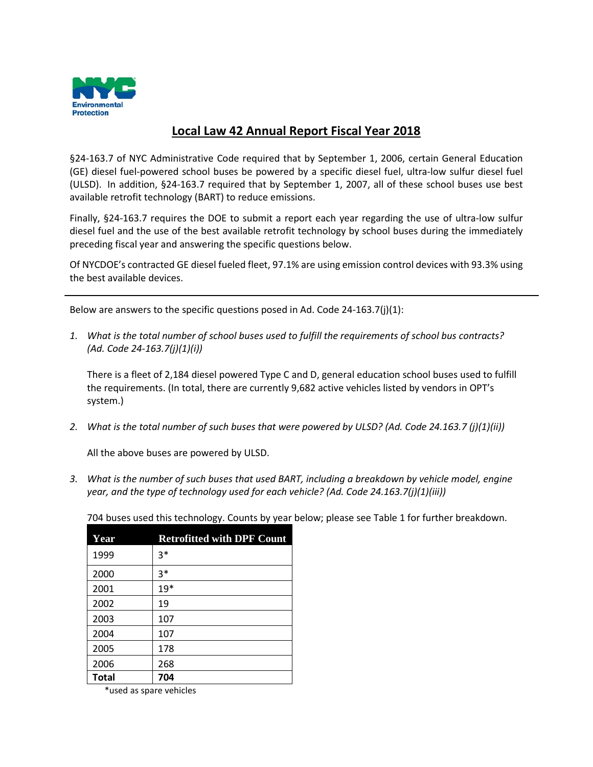

## **Local Law 42 Annual Report Fiscal Year 2018**

§24-163.7 of NYC Administrative Code required that by September 1, 2006, certain General Education (GE) diesel fuel-powered school buses be powered by a specific diesel fuel, ultra-low sulfur diesel fuel (ULSD). In addition, §24-163.7 required that by September 1, 2007, all of these school buses use best available retrofit technology (BART) to reduce emissions.

Finally, §24-163.7 requires the DOE to submit a report each year regarding the use of ultra-low sulfur diesel fuel and the use of the best available retrofit technology by school buses during the immediately preceding fiscal year and answering the specific questions below.

Of NYCDOE's contracted GE diesel fueled fleet, 97.1% are using emission control devices with 93.3% using the best available devices.

Below are answers to the specific questions posed in Ad. Code 24-163.7(j)(1):

*1. What is the total number of school buses used to fulfill the requirements of school bus contracts? (Ad. Code 24-163.7(j)(1)(i))*

There is a fleet of 2,184 diesel powered Type C and D, general education school buses used to fulfill the requirements. (In total, there are currently 9,682 active vehicles listed by vendors in OPT's system.)

*2. What is the total number of such buses that were powered by ULSD? (Ad. Code 24.163.7 (j)(1)(ii))*

All the above buses are powered by ULSD.

*3. What is the number of such buses that used BART, including a breakdown by vehicle model, engine year, and the type of technology used for each vehicle? (Ad. Code 24.163.7(j)(1)(iii))*

| Year         | <b>Retrofitted with DPF Count</b> |
|--------------|-----------------------------------|
| 1999         | $3*$                              |
| 2000         | $3*$                              |
| 2001         | $19*$                             |
| 2002         | 19                                |
| 2003         | 107                               |
| 2004         | 107                               |
| 2005         | 178                               |
| 2006         | 268                               |
| <b>Total</b> | 704                               |

\*used as spare vehicles